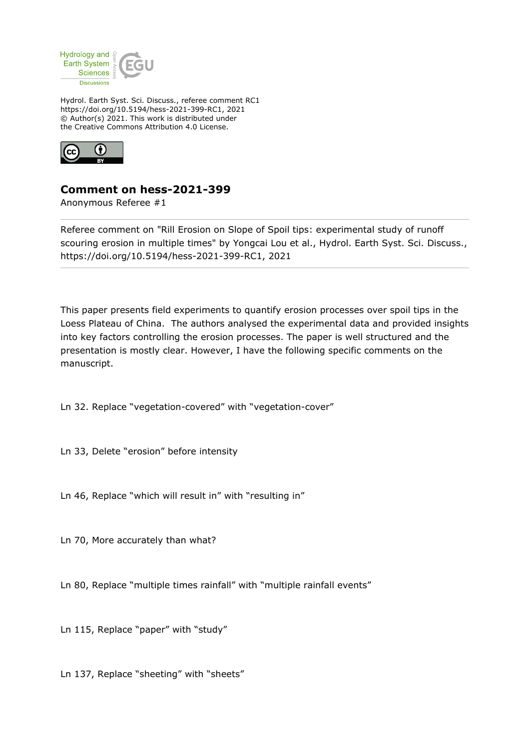

Hydrol. Earth Syst. Sci. Discuss., referee comment RC1 https://doi.org/10.5194/hess-2021-399-RC1, 2021 © Author(s) 2021. This work is distributed under the Creative Commons Attribution 4.0 License.



## **Comment on hess-2021-399**

Anonymous Referee #1

Referee comment on "Rill Erosion on Slope of Spoil tips: experimental study of runoff scouring erosion in multiple times" by Yongcai Lou et al., Hydrol. Earth Syst. Sci. Discuss., https://doi.org/10.5194/hess-2021-399-RC1, 2021

This paper presents field experiments to quantify erosion processes over spoil tips in the Loess Plateau of China. The authors analysed the experimental data and provided insights into key factors controlling the erosion processes. The paper is well structured and the presentation is mostly clear. However, I have the following specific comments on the manuscript.

Ln 32. Replace "vegetation-covered" with "vegetation-cover"

Ln 33, Delete "erosion" before intensity

Ln 46, Replace "which will result in" with "resulting in"

Ln 70, More accurately than what?

Ln 80, Replace "multiple times rainfall" with "multiple rainfall events"

Ln 115, Replace "paper" with "study"

Ln 137, Replace "sheeting" with "sheets"